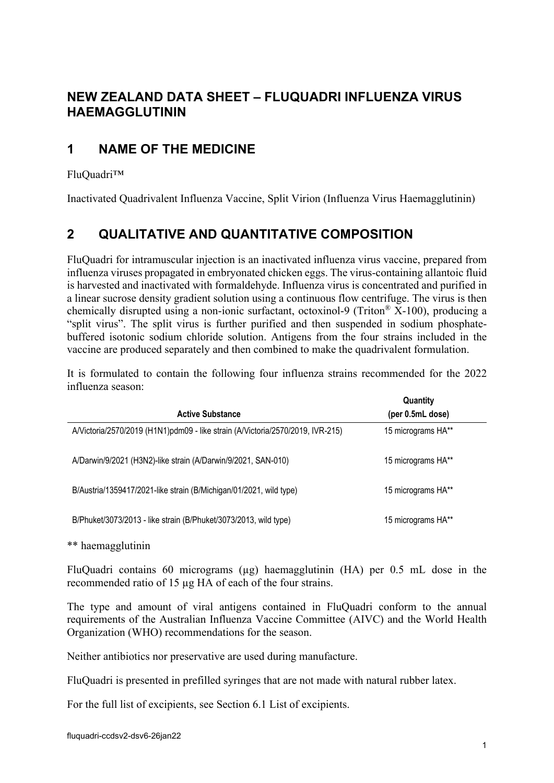## **NEW ZEALAND DATA SHEET – FLUQUADRI INFLUENZA VIRUS HAEMAGGLUTININ**

## **1 NAME OF THE MEDICINE**

#### FluQuadri™

<span id="page-0-0"></span>Inactivated Quadrivalent Influenza Vaccine, Split Virion (Influenza Virus Haemagglutinin)

# **2 QUALITATIVE AND QUANTITATIVE COMPOSITION**

FluQuadri for intramuscular injection is an inactivated influenza virus vaccine, prepared from influenza viruses propagated in embryonated chicken eggs. The virus-containing allantoic fluid is harvested and inactivated with formaldehyde. Influenza virus is concentrated and purified in a linear sucrose density gradient solution using a continuous flow centrifuge. The virus is then chemically disrupted using a non-ionic surfactant, octoxinol-9 (Triton<sup>®</sup>  $\overline{X}$ -100), producing a "split virus". The split virus is further purified and then suspended in sodium phosphatebuffered isotonic sodium chloride solution. Antigens from the four strains included in the vaccine are produced separately and then combined to make the quadrivalent formulation.

It is formulated to contain the following four influenza strains recommended for the 2022 influenza season:

| <b>Active Substance</b>                                                        | Quantity<br>(per 0.5mL dose) |  |
|--------------------------------------------------------------------------------|------------------------------|--|
| A/Victoria/2570/2019 (H1N1)pdm09 - like strain (A/Victoria/2570/2019, IVR-215) | 15 micrograms HA**           |  |
| A/Darwin/9/2021 (H3N2)-like strain (A/Darwin/9/2021, SAN-010)                  | 15 micrograms HA**           |  |
| B/Austria/1359417/2021-like strain (B/Michigan/01/2021, wild type)             | 15 micrograms HA**           |  |
| B/Phuket/3073/2013 - like strain (B/Phuket/3073/2013, wild type)               | 15 micrograms HA**           |  |

\*\* haemagglutinin

FluQuadri contains 60 micrograms (µg) haemagglutinin (HA) per 0.5 mL dose in the recommended ratio of 15 µg HA of each of the four strains.

The type and amount of viral antigens contained in FluQuadri conform to the annual requirements of the Australian Influenza Vaccine Committee (AIVC) and the World Health Organization (WHO) recommendations for the season.

Neither antibiotics nor preservative are used during manufacture.

FluQuadri is presented in prefilled syringes that are not made with natural rubber latex.

For the full list of excipients, see Section 6.1 List of excipients.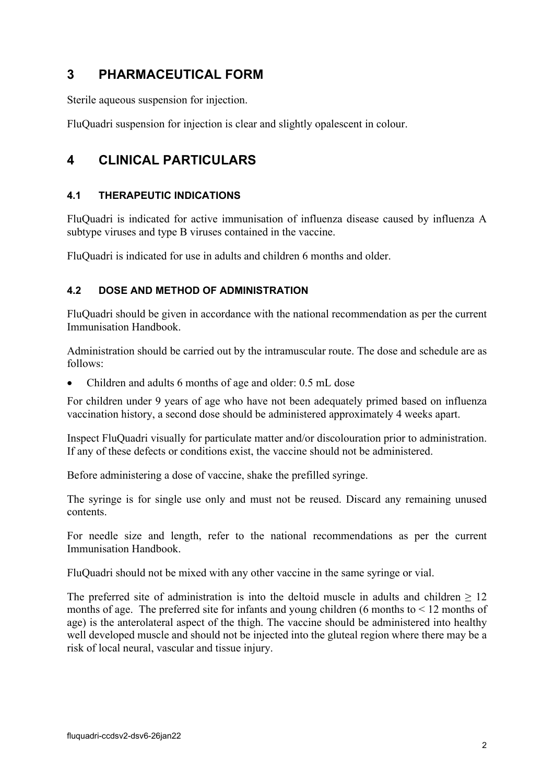## **3 PHARMACEUTICAL FORM**

Sterile aqueous suspension for injection.

FluQuadri suspension for injection is clear and slightly opalescent in colour.

## **4 CLINICAL PARTICULARS**

### **4.1 THERAPEUTIC INDICATIONS**

FluQuadri is indicated for active immunisation of influenza disease caused by influenza A subtype viruses and type B viruses contained in the vaccine.

FluQuadri is indicated for use in adults and children 6 months and older.

### **4.2 DOSE AND METHOD OF ADMINISTRATION**

FluQuadri should be given in accordance with the national recommendation as per the current Immunisation Handbook.

Administration should be carried out by the intramuscular route. The dose and schedule are as follows:

• Children and adults 6 months of age and older: 0.5 mL dose

For children under 9 years of age who have not been adequately primed based on influenza vaccination history, a second dose should be administered approximately 4 weeks apart.

Inspect FluQuadri visually for particulate matter and/or discolouration prior to administration. If any of these defects or conditions exist, the vaccine should not be administered.

Before administering a dose of vaccine, shake the prefilled syringe.

The syringe is for single use only and must not be reused. Discard any remaining unused contents.

For needle size and length, refer to the national recommendations as per the current Immunisation Handbook.

FluQuadri should not be mixed with any other vaccine in the same syringe or vial.

The preferred site of administration is into the deltoid muscle in adults and children  $> 12$ months of age. The preferred site for infants and young children  $(6 \text{ months to} < 12 \text{ months of})$ age) is the anterolateral aspect of the thigh. The vaccine should be administered into healthy well developed muscle and should not be injected into the gluteal region where there may be a risk of local neural, vascular and tissue injury.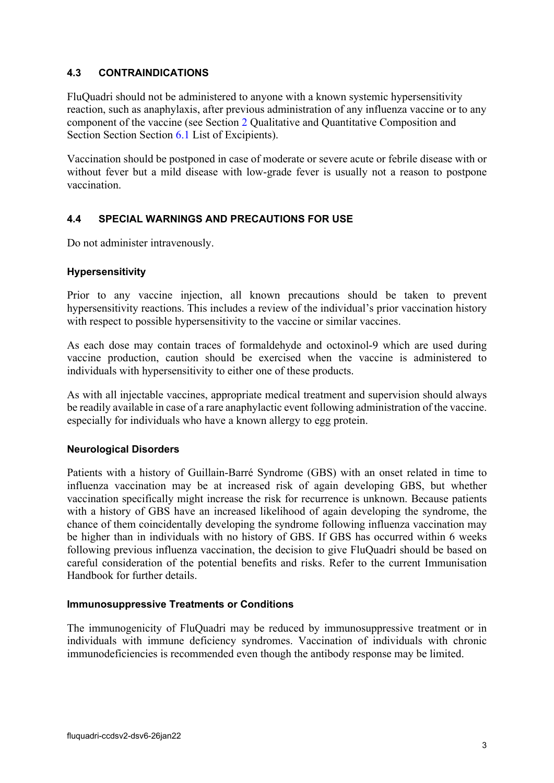#### **4.3 CONTRAINDICATIONS**

FluQuadri should not be administered to anyone with a known systemic hypersensitivity reaction, such as anaphylaxis, after previous administration of any influenza vaccine or to any component of the vaccine (see Section [2](#page-0-0) Qualitative and Quantitative Composition and Section Section Section [6.1](#page-18-0) List of Excipients).

Vaccination should be postponed in case of moderate or severe acute or febrile disease with or without fever but a mild disease with low-grade fever is usually not a reason to postpone vaccination.

### **4.4 SPECIAL WARNINGS AND PRECAUTIONS FOR USE**

Do not administer intravenously.

#### **Hypersensitivity**

Prior to any vaccine injection, all known precautions should be taken to prevent hypersensitivity reactions. This includes a review of the individual's prior vaccination history with respect to possible hypersensitivity to the vaccine or similar vaccines.

As each dose may contain traces of formaldehyde and octoxinol-9 which are used during vaccine production, caution should be exercised when the vaccine is administered to individuals with hypersensitivity to either one of these products.

As with all injectable vaccines, appropriate medical treatment and supervision should always be readily available in case of a rare anaphylactic event following administration of the vaccine. especially for individuals who have a known allergy to egg protein.

#### **Neurological Disorders**

Patients with a history of Guillain-Barré Syndrome (GBS) with an onset related in time to influenza vaccination may be at increased risk of again developing GBS, but whether vaccination specifically might increase the risk for recurrence is unknown. Because patients with a history of GBS have an increased likelihood of again developing the syndrome, the chance of them coincidentally developing the syndrome following influenza vaccination may be higher than in individuals with no history of GBS. If GBS has occurred within 6 weeks following previous influenza vaccination, the decision to give FluQuadri should be based on careful consideration of the potential benefits and risks. Refer to the current Immunisation Handbook for further details.

#### **Immunosuppressive Treatments or Conditions**

The immunogenicity of FluQuadri may be reduced by immunosuppressive treatment or in individuals with immune deficiency syndromes. Vaccination of individuals with chronic immunodeficiencies is recommended even though the antibody response may be limited.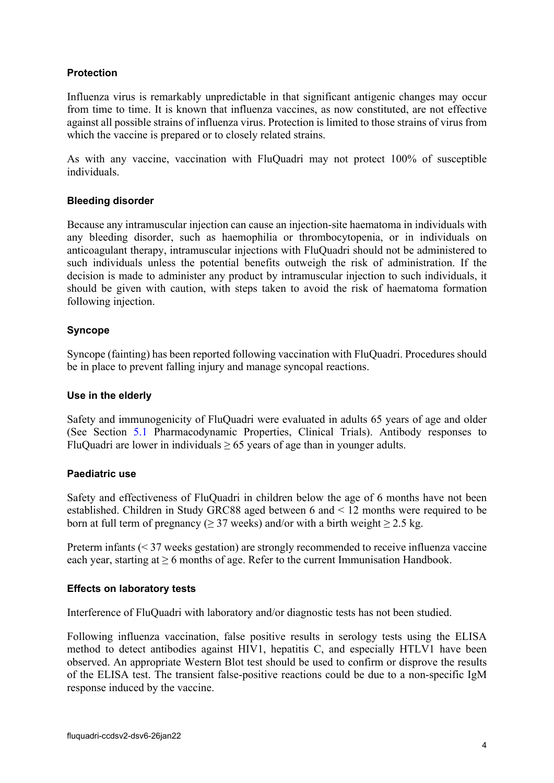#### **Protection**

Influenza virus is remarkably unpredictable in that significant antigenic changes may occur from time to time. It is known that influenza vaccines, as now constituted, are not effective against all possible strains of influenza virus. Protection is limited to those strains of virus from which the vaccine is prepared or to closely related strains.

As with any vaccine, vaccination with FluQuadri may not protect 100% of susceptible individuals.

#### **Bleeding disorder**

Because any intramuscular injection can cause an injection-site haematoma in individuals with any bleeding disorder, such as haemophilia or thrombocytopenia, or in individuals on anticoagulant therapy, intramuscular injections with FluQuadri should not be administered to such individuals unless the potential benefits outweigh the risk of administration. If the decision is made to administer any product by intramuscular injection to such individuals, it should be given with caution, with steps taken to avoid the risk of haematoma formation following injection.

#### **Syncope**

Syncope (fainting) has been reported following vaccination with FluQuadri. Procedures should be in place to prevent falling injury and manage syncopal reactions.

#### **Use in the elderly**

Safety and immunogenicity of FluQuadri were evaluated in adults 65 years of age and older (See Section [5.1](#page-9-0) Pharmacodynamic Properties, Clinical Trials). Antibody responses to FluQuadri are lower in individuals  $\geq 65$  years of age than in younger adults.

#### **Paediatric use**

Safety and effectiveness of FluQuadri in children below the age of 6 months have not been established. Children in Study GRC88 aged between 6 and < 12 months were required to be born at full term of pregnancy ( $\geq$  37 weeks) and/or with a birth weight  $\geq$  2.5 kg.

Preterm infants (< 37 weeks gestation) are strongly recommended to receive influenza vaccine each year, starting at  $\geq 6$  months of age. Refer to the current Immunisation Handbook.

#### **Effects on laboratory tests**

Interference of FluQuadri with laboratory and/or diagnostic tests has not been studied.

Following influenza vaccination, false positive results in serology tests using the ELISA method to detect antibodies against HIV1, hepatitis C, and especially HTLV1 have been observed. An appropriate Western Blot test should be used to confirm or disprove the results of the ELISA test. The transient false-positive reactions could be due to a non-specific IgM response induced by the vaccine.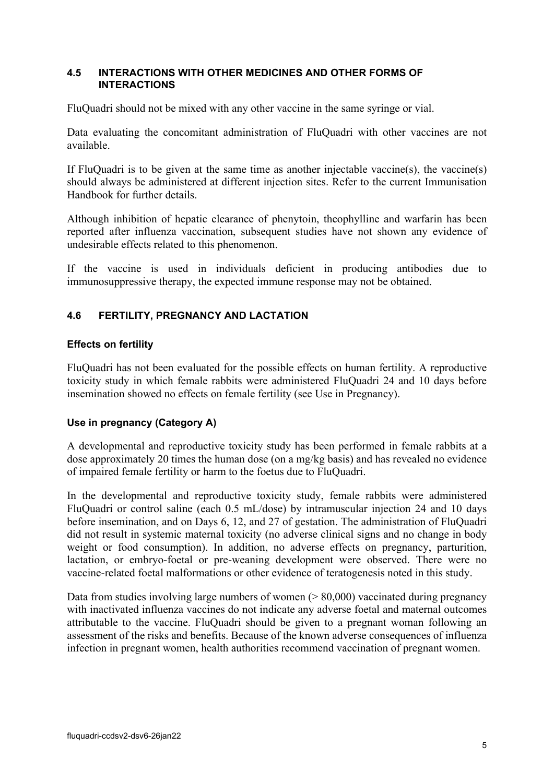#### **4.5 INTERACTIONS WITH OTHER MEDICINES AND OTHER FORMS OF INTERACTIONS**

FluQuadri should not be mixed with any other vaccine in the same syringe or vial.

Data evaluating the concomitant administration of FluQuadri with other vaccines are not available.

If FluQuadri is to be given at the same time as another injectable vaccine(s), the vaccine(s) should always be administered at different injection sites. Refer to the current Immunisation Handbook for further details.

Although inhibition of hepatic clearance of phenytoin, theophylline and warfarin has been reported after influenza vaccination, subsequent studies have not shown any evidence of undesirable effects related to this phenomenon.

If the vaccine is used in individuals deficient in producing antibodies due to immunosuppressive therapy, the expected immune response may not be obtained.

#### **4.6 FERTILITY, PREGNANCY AND LACTATION**

#### **Effects on fertility**

FluQuadri has not been evaluated for the possible effects on human fertility. A reproductive toxicity study in which female rabbits were administered FluQuadri 24 and 10 days before insemination showed no effects on female fertility (see Use in Pregnancy).

#### **Use in pregnancy (Category A)**

A developmental and reproductive toxicity study has been performed in female rabbits at a dose approximately 20 times the human dose (on a mg/kg basis) and has revealed no evidence of impaired female fertility or harm to the foetus due to FluQuadri.

In the developmental and reproductive toxicity study, female rabbits were administered FluQuadri or control saline (each 0.5 mL/dose) by intramuscular injection 24 and 10 days before insemination, and on Days 6, 12, and 27 of gestation. The administration of FluQuadri did not result in systemic maternal toxicity (no adverse clinical signs and no change in body weight or food consumption). In addition, no adverse effects on pregnancy, parturition, lactation, or embryo-foetal or pre-weaning development were observed. There were no vaccine-related foetal malformations or other evidence of teratogenesis noted in this study.

Data from studies involving large numbers of women  $(0.80,000)$  vaccinated during pregnancy with inactivated influenza vaccines do not indicate any adverse foetal and maternal outcomes attributable to the vaccine. FluQuadri should be given to a pregnant woman following an assessment of the risks and benefits. Because of the known adverse consequences of influenza infection in pregnant women, health authorities recommend vaccination of pregnant women.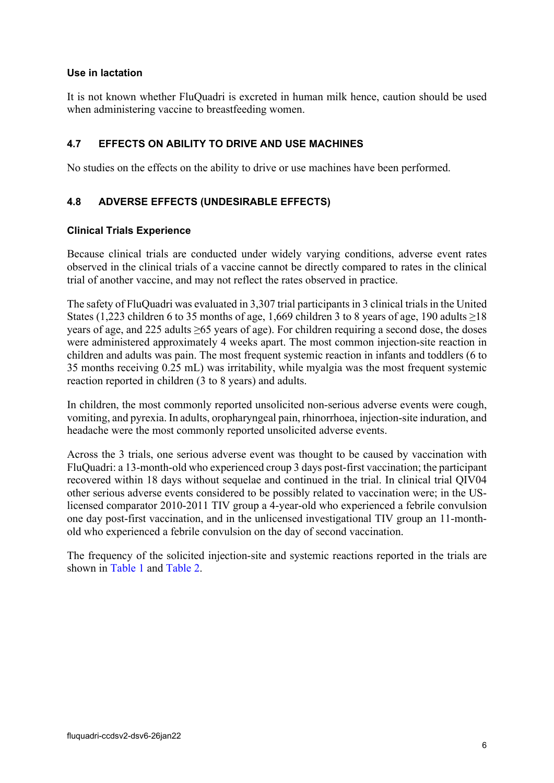#### **Use in lactation**

It is not known whether FluQuadri is excreted in human milk hence, caution should be used when administering vaccine to breastfeeding women.

### **4.7 EFFECTS ON ABILITY TO DRIVE AND USE MACHINES**

No studies on the effects on the ability to drive or use machines have been performed.

### **4.8 ADVERSE EFFECTS (UNDESIRABLE EFFECTS)**

#### **Clinical Trials Experience**

Because clinical trials are conducted under widely varying conditions, adverse event rates observed in the clinical trials of a vaccine cannot be directly compared to rates in the clinical trial of another vaccine, and may not reflect the rates observed in practice.

The safety of FluQuadri was evaluated in 3,307 trial participants in 3 clinical trials in the United States (1,223 children 6 to 35 months of age, 1,669 children 3 to 8 years of age, 190 adults  $\geq$ 18 years of age, and 225 adults ≥65 years of age). For children requiring a second dose, the doses were administered approximately 4 weeks apart. The most common injection-site reaction in children and adults was pain. The most frequent systemic reaction in infants and toddlers (6 to 35 months receiving 0.25 mL) was irritability, while myalgia was the most frequent systemic reaction reported in children (3 to 8 years) and adults.

In children, the most commonly reported unsolicited non-serious adverse events were cough, vomiting, and pyrexia. In adults, oropharyngeal pain, rhinorrhoea, injection-site induration, and headache were the most commonly reported unsolicited adverse events.

Across the 3 trials, one serious adverse event was thought to be caused by vaccination with FluQuadri: a 13-month-old who experienced croup 3 days post-first vaccination; the participant recovered within 18 days without sequelae and continued in the trial. In clinical trial QIV04 other serious adverse events considered to be possibly related to vaccination were; in the USlicensed comparator 2010-2011 TIV group a 4-year-old who experienced a febrile convulsion one day post-first vaccination, and in the unlicensed investigational TIV group an 11-monthold who experienced a febrile convulsion on the day of second vaccination.

The frequency of the solicited injection-site and systemic reactions reported in the trials are shown in [Table](#page-6-0) 1 and [Table](#page-6-1) 2.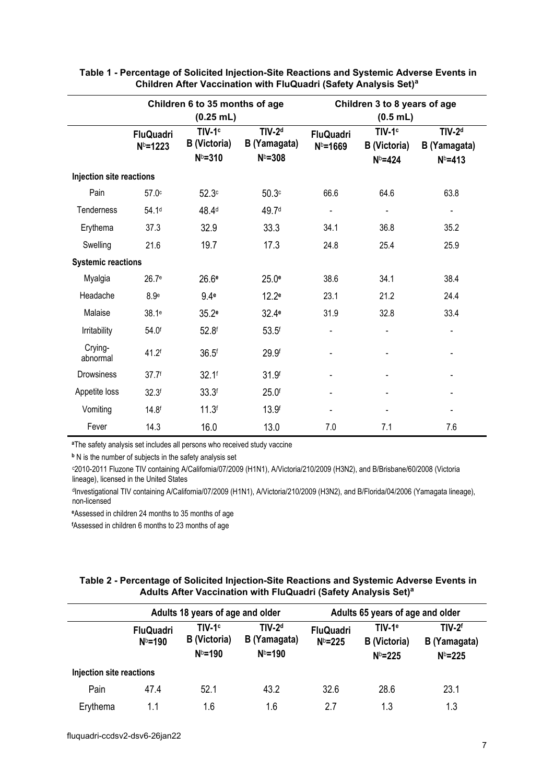|                           | Children 6 to 35 months of age   |                                         |                                         | Children 3 to 8 years of age     |                                         |                                         |  |
|---------------------------|----------------------------------|-----------------------------------------|-----------------------------------------|----------------------------------|-----------------------------------------|-----------------------------------------|--|
|                           |                                  | $(0.25$ mL)                             |                                         | $(0.5$ mL)                       |                                         |                                         |  |
|                           | <b>FluQuadri</b><br>$N^{b=1223}$ | $TIV-1c$<br>B (Victoria)<br>$N^{b=310}$ | $TIV-2d$<br>B (Yamagata)<br>$N^{b=308}$ | <b>FluQuadri</b><br>$N^{b=1669}$ | $TIV-1c$<br>B (Victoria)<br>$N^{b=424}$ | $TIV-2d$<br>B (Yamagata)<br>$N^{b=413}$ |  |
| Injection site reactions  |                                  |                                         |                                         |                                  |                                         |                                         |  |
| Pain                      | 57.0 <sup>c</sup>                | 52.3c                                   | 50.3 <sup>c</sup>                       | 66.6                             | 64.6                                    | 63.8                                    |  |
| Tenderness                | 54.1 <sup>d</sup>                | 48.4 <sup>d</sup>                       | 49.7 <sup>d</sup>                       |                                  |                                         | $\qquad \qquad \blacksquare$            |  |
| Erythema                  | 37.3                             | 32.9                                    | 33.3                                    | 34.1                             | 36.8                                    | 35.2                                    |  |
| Swelling                  | 21.6                             | 19.7                                    | 17.3                                    | 24.8                             | 25.4                                    | 25.9                                    |  |
| <b>Systemic reactions</b> |                                  |                                         |                                         |                                  |                                         |                                         |  |
| Myalgia                   | 26.7 <sup>e</sup>                | 26.6 <sup>e</sup>                       | 25.0 <sup>e</sup>                       | 38.6                             | 34.1                                    | 38.4                                    |  |
| Headache                  | 8.9 <sup>e</sup>                 | 9.4 <sub>e</sub>                        | 12.2 <sup>e</sup>                       | 23.1                             | 21.2                                    | 24.4                                    |  |
| Malaise                   | 38.1 <sup>e</sup>                | 35.2 <sup>e</sup>                       | 32.4 <sup>e</sup>                       | 31.9                             | 32.8                                    | 33.4                                    |  |
| Irritability              | 54.0f                            | 52.8 <sup>f</sup>                       | 53.5 <sup>f</sup>                       | $\blacksquare$                   |                                         | -                                       |  |
| Crying-<br>abnormal       | 41.2f                            | 36.5 <sup>f</sup>                       | 29.9f                                   |                                  |                                         |                                         |  |
| <b>Drowsiness</b>         | 37.7 <sup>f</sup>                | $32.1$ <sup>f</sup>                     | 31.9 <sup>f</sup>                       |                                  |                                         |                                         |  |
| Appetite loss             | 32.3 <sup>f</sup>                | 33.3 <sup>f</sup>                       | 25.0 <sup>f</sup>                       |                                  |                                         |                                         |  |
| Vomiting                  | 14.8 <sup>f</sup>                | 11.3 <sup>f</sup>                       | 13.9 <sup>f</sup>                       |                                  |                                         |                                         |  |
| Fever                     | 14.3                             | 16.0                                    | 13.0                                    | 7.0                              | 7.1                                     | 7.6                                     |  |

#### <span id="page-6-0"></span>**Table 1 Percentage of Solicited Injection-Site Reactions and Systemic Adverse Events in Children After Vaccination with FluQuadri (Safety Analysis Set)<sup>a</sup>**

**<sup>a</sup>**The safety analysis set includes all persons who received study vaccine

**<sup>b</sup>** N is the number of subjects in the safety analysis set

c 2010-2011 Fluzone TIV containing A/California/07/2009 (H1N1), A/Victoria/210/2009 (H3N2), and B/Brisbane/60/2008 (Victoria lineage), licensed in the United States

dInvestigational TIV containing A/California/07/2009 (H1N1), A/Victoria/210/2009 (H3N2), and B/Florida/04/2006 (Yamagata lineage), non-licensed

**<sup>e</sup>**Assessed in children 24 months to 35 months of age

**f** Assessed in children 6 months to 23 months of age

#### <span id="page-6-1"></span>**Table 2 Percentage of Solicited Injection-Site Reactions and Systemic Adverse Events in Adults After Vaccination with FluQuadri (Safety Analysis Set)<sup>a</sup>**

|                          | Adults 18 years of age and older |                                                       |                                         |                                 | Adults 65 years of age and older                       |                                         |
|--------------------------|----------------------------------|-------------------------------------------------------|-----------------------------------------|---------------------------------|--------------------------------------------------------|-----------------------------------------|
|                          | <b>FluQuadri</b><br>$N^{b=190}$  | TIV-1 <sup>c</sup><br><b>B</b> (Victoria)<br>$Nb=190$ | $TIV-2d$<br>B (Yamagata)<br>$N^{b=190}$ | <b>FluQuadri</b><br>$N^b = 225$ | TIV-1 <sup>e</sup><br><b>B</b> (Victoria)<br>$N^b=225$ | $TIV-2f$<br>B (Yamagata)<br>$N^b = 225$ |
| Injection site reactions |                                  |                                                       |                                         |                                 |                                                        |                                         |
| Pain                     | 47.4                             | 52.1                                                  | 43.2                                    | 32.6                            | 28.6                                                   | 23.1                                    |
| Erythema                 | 1.1                              | 1.6                                                   | 1.6                                     | 2.7                             | 1.3                                                    | 1.3                                     |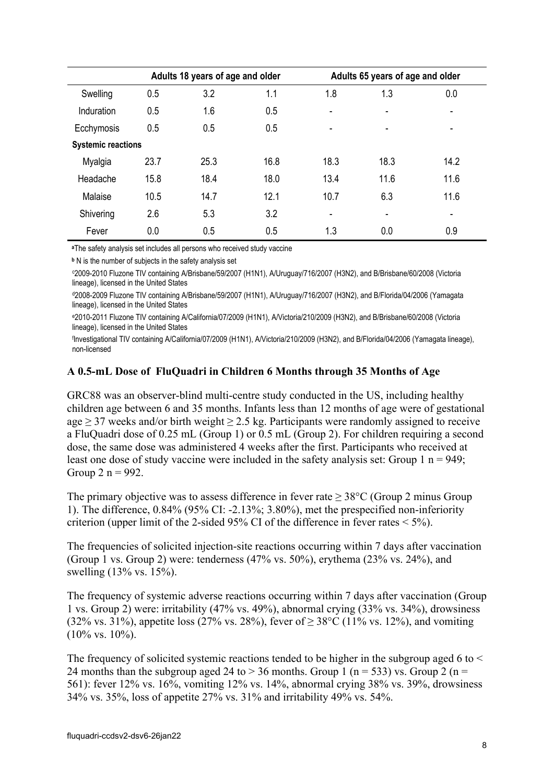|                           |      | Adults 18 years of age and older |      |      | Adults 65 years of age and older |      |
|---------------------------|------|----------------------------------|------|------|----------------------------------|------|
| Swelling                  | 0.5  | 3.2                              | 1.1  | 1.8  | 1.3                              | 0.0  |
| Induration                | 0.5  | 1.6                              | 0.5  |      |                                  | ۰    |
| Ecchymosis                | 0.5  | 0.5                              | 0.5  |      | $\overline{\phantom{0}}$         | ٠    |
| <b>Systemic reactions</b> |      |                                  |      |      |                                  |      |
| Myalgia                   | 23.7 | 25.3                             | 16.8 | 18.3 | 18.3                             | 14.2 |
| Headache                  | 15.8 | 18.4                             | 18.0 | 13.4 | 11.6                             | 11.6 |
| Malaise                   | 10.5 | 14.7                             | 12.1 | 10.7 | 6.3                              | 11.6 |
| Shivering                 | 2.6  | 5.3                              | 3.2  | ٠    | ۰                                | ٠    |
| Fever                     | 0.0  | 0.5                              | 0.5  | 1.3  | 0.0                              | 0.9  |

**<sup>a</sup>**The safety analysis set includes all persons who received study vaccine

**<sup>b</sup>** N is the number of subjects in the safety analysis set

c 2009-2010 Fluzone TIV containing A/Brisbane/59/2007 (H1N1), A/Uruguay/716/2007 (H3N2), and B/Brisbane/60/2008 (Victoria lineage), licensed in the United States

d2008-2009 Fluzone TIV containing A/Brisbane/59/2007 (H1N1), A/Uruguay/716/2007 (H3N2), and B/Florida/04/2006 (Yamagata lineage), licensed in the United States

e2010-2011 Fluzone TIV containing A/California/07/2009 (H1N1), A/Victoria/210/2009 (H3N2), and B/Brisbane/60/2008 (Victoria lineage), licensed in the United States

f Investigational TIV containing A/California/07/2009 (H1N1), A/Victoria/210/2009 (H3N2), and B/Florida/04/2006 (Yamagata lineage), non-licensed

#### **A 0.5-mL Dose of FluQuadri in Children 6 Months through 35 Months of Age**

GRC88 was an observer-blind multi-centre study conducted in the US, including healthy children age between 6 and 35 months. Infants less than 12 months of age were of gestational age  $\geq$  37 weeks and/or birth weight  $\geq$  2.5 kg. Participants were randomly assigned to receive a FluQuadri dose of 0.25 mL (Group 1) or 0.5 mL (Group 2). For children requiring a second dose, the same dose was administered 4 weeks after the first. Participants who received at least one dose of study vaccine were included in the safety analysis set: Group 1  $n = 949$ ; Group  $2 n = 992$ .

The primary objective was to assess difference in fever rate  $\geq$  38°C (Group 2 minus Group 1). The difference, 0.84% (95% CI: -2.13%; 3.80%), met the prespecified non-inferiority criterion (upper limit of the 2-sided  $95\%$  CI of the difference in fever rates  $\leq 5\%$ ).

The frequencies of solicited injection-site reactions occurring within 7 days after vaccination (Group 1 vs. Group 2) were: tenderness (47% vs. 50%), erythema (23% vs. 24%), and swelling (13% vs. 15%).

The frequency of systemic adverse reactions occurring within 7 days after vaccination (Group 1 vs. Group 2) were: irritability (47% vs. 49%), abnormal crying (33% vs. 34%), drowsiness (32% vs. 31%), appetite loss (27% vs. 28%), fever of  $\geq$  38°C (11% vs. 12%), and vomiting  $(10\% \text{ vs. } 10\%).$ 

The frequency of solicited systemic reactions tended to be higher in the subgroup aged 6 to  $\leq$ 24 months than the subgroup aged 24 to  $> 36$  months. Group 1 (n = 533) vs. Group 2 (n = 561): fever 12% vs. 16%, vomiting 12% vs. 14%, abnormal crying 38% vs. 39%, drowsiness 34% vs. 35%, loss of appetite 27% vs. 31% and irritability 49% vs. 54%.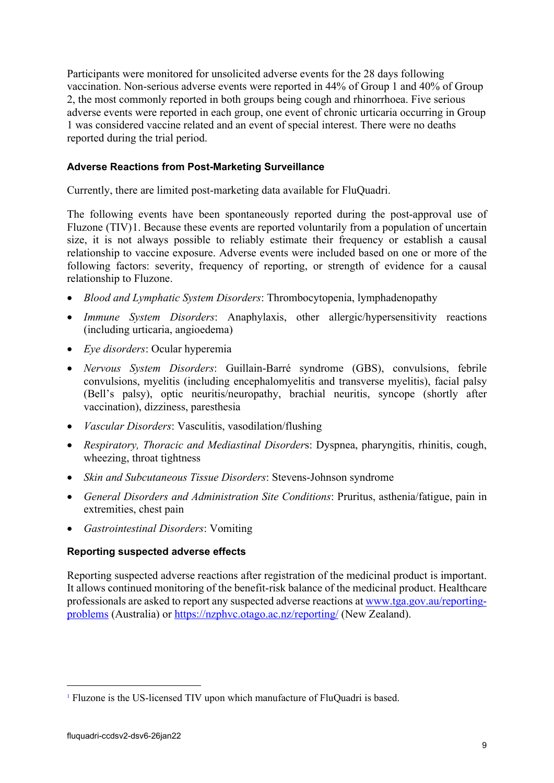Participants were monitored for unsolicited adverse events for the 28 days following vaccination. Non-serious adverse events were reported in 44% of Group 1 and 40% of Group 2, the most commonly reported in both groups being cough and rhinorrhoea. Five serious adverse events were reported in each group, one event of chronic urticaria occurring in Group 1 was considered vaccine related and an event of special interest. There were no deaths reported during the trial period.

### **Adverse Reactions from Post-Marketing Surveillance**

Currently, there are limited post-marketing data available for FluQuadri.

The following events have been spontaneously reported during the post-approval use of Fluzone (TIV)[1](#page-8-0). Because these events are reported voluntarily from a population of uncertain size, it is not always possible to reliably estimate their frequency or establish a causal relationship to vaccine exposure. Adverse events were included based on one or more of the following factors: severity, frequency of reporting, or strength of evidence for a causal relationship to Fluzone.

- *Blood and Lymphatic System Disorders*: Thrombocytopenia, lymphadenopathy
- *Immune System Disorders*: Anaphylaxis, other allergic/hypersensitivity reactions (including urticaria, angioedema)
- *Eye disorders*: Ocular hyperemia
- *Nervous System Disorders*: Guillain-Barré syndrome (GBS), convulsions, febrile convulsions, myelitis (including encephalomyelitis and transverse myelitis), facial palsy (Bell's palsy), optic neuritis/neuropathy, brachial neuritis, syncope (shortly after vaccination), dizziness, paresthesia
- *Vascular Disorders*: Vasculitis, vasodilation/flushing
- *Respiratory, Thoracic and Mediastinal Disorder*s: Dyspnea, pharyngitis, rhinitis, cough, wheezing, throat tightness
- *Skin and Subcutaneous Tissue Disorders*: Stevens-Johnson syndrome
- *General Disorders and Administration Site Conditions*: Pruritus, asthenia/fatigue, pain in extremities, chest pain
- *Gastrointestinal Disorders*: Vomiting

#### **Reporting suspected adverse effects**

Reporting suspected adverse reactions after registration of the medicinal product is important. It allows continued monitoring of the benefit-risk balance of the medicinal product. Healthcare professionals are asked to report any suspected adverse reactions at [www.tga.gov.au/reporting](http://www.tga.gov.au/reporting-problems)[problems](http://www.tga.gov.au/reporting-problems) (Australia) or<https://nzphvc.otago.ac.nz/reporting/> (New Zealand).

<span id="page-8-0"></span><sup>1</sup> Fluzone is the US-licensed TIV upon which manufacture of FluQuadri is based.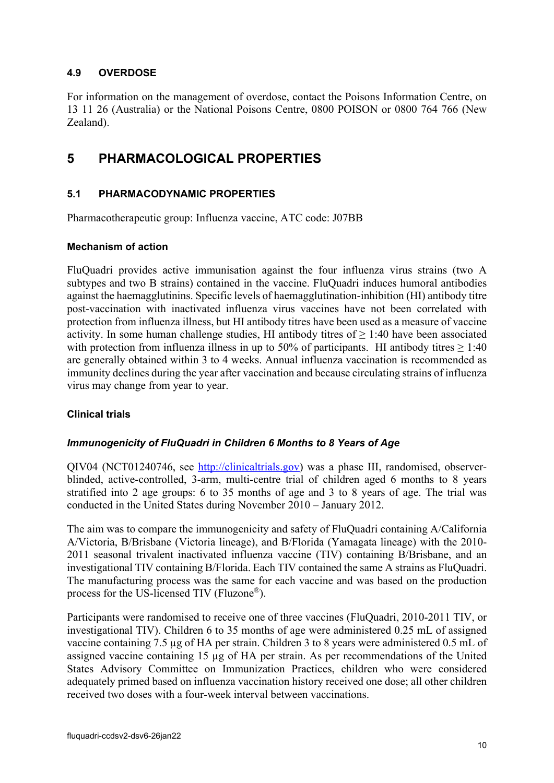### **4.9 OVERDOSE**

For information on the management of overdose, contact the Poisons Information Centre, on 13 11 26 (Australia) or the National Poisons Centre, 0800 POISON or 0800 764 766 (New Zealand).

## <span id="page-9-0"></span>**5 PHARMACOLOGICAL PROPERTIES**

### **5.1 PHARMACODYNAMIC PROPERTIES**

Pharmacotherapeutic group: Influenza vaccine, ATC code: J07BB

#### **Mechanism of action**

FluQuadri provides active immunisation against the four influenza virus strains (two A subtypes and two B strains) contained in the vaccine. FluQuadri induces humoral antibodies against the haemagglutinins. Specific levels of haemagglutination-inhibition (HI) antibody titre post-vaccination with inactivated influenza virus vaccines have not been correlated with protection from influenza illness, but HI antibody titres have been used as a measure of vaccine activity. In some human challenge studies, HI antibody titres of  $\geq 1:40$  have been associated with protection from influenza illness in up to 50% of participants. HI antibody titres  $\geq 1:40$ are generally obtained within 3 to 4 weeks. Annual influenza vaccination is recommended as immunity declines during the year after vaccination and because circulating strains of influenza virus may change from year to year.

#### **Clinical trials**

#### *Immunogenicity of FluQuadri in Children 6 Months to 8 Years of Age*

QIV04 (NCT01240746, see [http://clinicaltrials.gov\)](http://clinicaltrials.gov/) was a phase III, randomised, observerblinded, active-controlled, 3-arm, multi-centre trial of children aged 6 months to 8 years stratified into 2 age groups: 6 to 35 months of age and 3 to 8 years of age. The trial was conducted in the United States during November 2010 – January 2012.

The aim was to compare the immunogenicity and safety of FluQuadri containing A/California A/Victoria, B/Brisbane (Victoria lineage), and B/Florida (Yamagata lineage) with the 2010- 2011 seasonal trivalent inactivated influenza vaccine (TIV) containing B/Brisbane, and an investigational TIV containing B/Florida. Each TIV contained the same A strains as FluQuadri. The manufacturing process was the same for each vaccine and was based on the production process for the US-licensed TIV (Fluzone®).

Participants were randomised to receive one of three vaccines (FluQuadri, 2010-2011 TIV, or investigational TIV). Children 6 to 35 months of age were administered 0.25 mL of assigned vaccine containing 7.5 µg of HA per strain. Children 3 to 8 years were administered 0.5 mL of assigned vaccine containing 15 µg of HA per strain. As per recommendations of the United States Advisory Committee on Immunization Practices, children who were considered adequately primed based on influenza vaccination history received one dose; all other children received two doses with a four-week interval between vaccinations.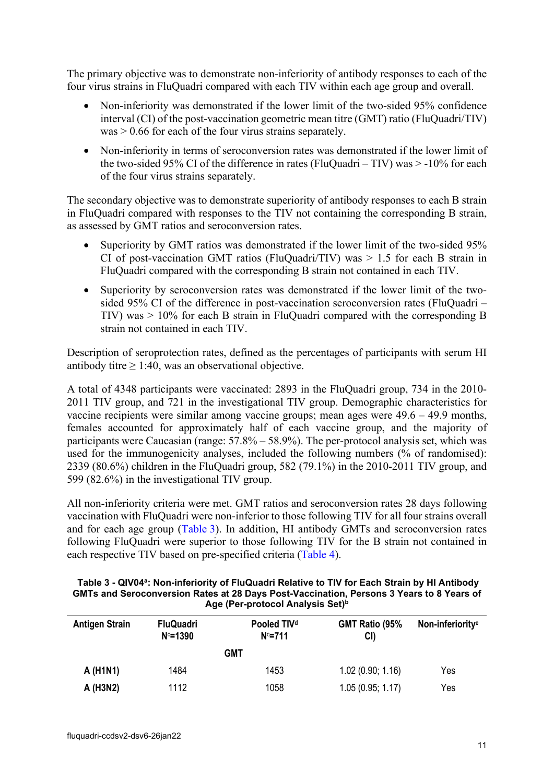The primary objective was to demonstrate non-inferiority of antibody responses to each of the four virus strains in FluQuadri compared with each TIV within each age group and overall.

- Non-inferiority was demonstrated if the lower limit of the two-sided 95% confidence interval (CI) of the post-vaccination geometric mean titre (GMT) ratio (FluQuadri/TIV) was > 0.66 for each of the four virus strains separately.
- Non-inferiority in terms of seroconversion rates was demonstrated if the lower limit of the two-sided 95% CI of the difference in rates (FluQuadri –  $TIV$ ) was  $> -10\%$  for each of the four virus strains separately.

The secondary objective was to demonstrate superiority of antibody responses to each B strain in FluQuadri compared with responses to the TIV not containing the corresponding B strain, as assessed by GMT ratios and seroconversion rates.

- Superiority by GMT ratios was demonstrated if the lower limit of the two-sided 95% CI of post-vaccination GMT ratios (FluQuadri/TIV) was  $> 1.5$  for each B strain in FluQuadri compared with the corresponding B strain not contained in each TIV.
- Superiority by seroconversion rates was demonstrated if the lower limit of the twosided 95% CI of the difference in post-vaccination seroconversion rates (FluQuadri – TIV) was > 10% for each B strain in FluQuadri compared with the corresponding B strain not contained in each TIV.

Description of seroprotection rates, defined as the percentages of participants with serum HI antibody titre  $\geq$  1:40, was an observational objective.

A total of 4348 participants were vaccinated: 2893 in the FluQuadri group, 734 in the 2010- 2011 TIV group, and 721 in the investigational TIV group. Demographic characteristics for vaccine recipients were similar among vaccine groups; mean ages were 49.6 – 49.9 months, females accounted for approximately half of each vaccine group, and the majority of participants were Caucasian (range: 57.8% – 58.9%). The per-protocol analysis set, which was used for the immunogenicity analyses, included the following numbers (% of randomised): 2339 (80.6%) children in the FluQuadri group, 582 (79.1%) in the 2010-2011 TIV group, and 599 (82.6%) in the investigational TIV group.

All non-inferiority criteria were met. GMT ratios and seroconversion rates 28 days following vaccination with FluQuadri were non-inferior to those following TIV for all four strains overall and for each age group [\(Table](#page-10-0) 3). In addition, HI antibody GMTs and seroconversion rates following FluQuadri were superior to those following TIV for the B strain not contained in each respective TIV based on pre-specified criteria [\(Table](#page-12-0) 4).

<span id="page-10-0"></span>

| Table 3 - QIV04 <sup>a</sup> : Non-inferiority of FluQuadri Relative to TIV for Each Strain by HI Antibody |
|------------------------------------------------------------------------------------------------------------|
| GMTs and Seroconversion Rates at 28 Days Post-Vaccination, Persons 3 Years to 8 Years of                   |
| Age (Per-protocol Analysis Set) <sup>b</sup>                                                               |

| <b>Antigen Strain</b> | <b>FluQuadri</b><br>$N = 1390$ | Pooled TIV <sup>d</sup><br>$N = 711$ | GMT Ratio (95%<br>CI) | Non-inferiority <sup>e</sup> |
|-----------------------|--------------------------------|--------------------------------------|-----------------------|------------------------------|
|                       |                                | GMT                                  |                       |                              |
| A (H1N1)              | 1484                           | 1453                                 | 1.02(0.90; 1.16)      | Yes                          |
| A (H3N2)              | 1112                           | 1058                                 | 1.05(0.95; 1.17)      | Yes                          |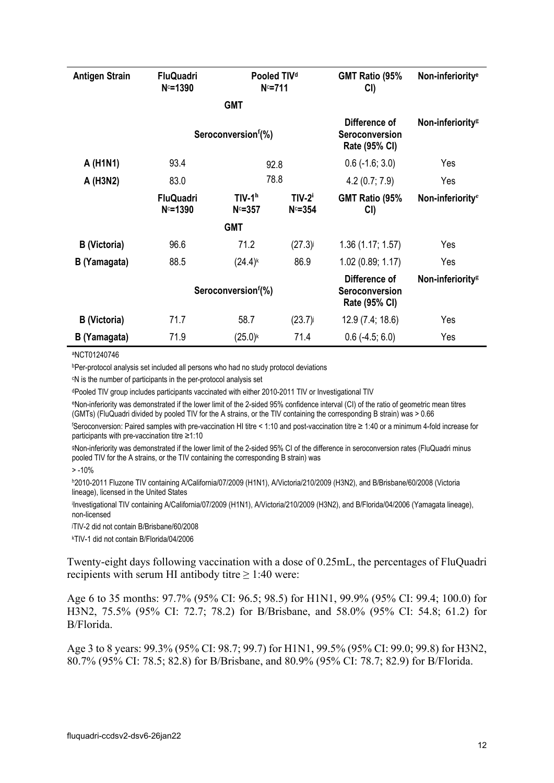| <b>Antigen Strain</b> | <b>FluQuadri</b><br>$N = 1390$ | $N = 711$             | Pooled TIV <sup>d</sup> | GMT Ratio (95%<br>CI)                                   | Non-inferiority <sup>e</sup> |
|-----------------------|--------------------------------|-----------------------|-------------------------|---------------------------------------------------------|------------------------------|
|                       |                                | <b>GMT</b>            |                         |                                                         |                              |
|                       |                                | Seroconversionf(%)    |                         | Difference of<br>Seroconversion<br>Rate (95% CI)        | Non-inferiority <sup>g</sup> |
| A (H1N1)              | 93.4                           |                       | 92.8                    | $0.6$ (-1.6; 3.0)                                       | Yes                          |
| A (H3N2)              | 83.0                           |                       | 78.8                    | 4.2(0.7; 7.9)                                           | Yes                          |
|                       | <b>FluQuadri</b><br>$N = 1390$ | $TIV-1h$<br>$N = 357$ | $TIV-2i$<br>$N = 354$   | GMT Ratio (95%<br>CI)                                   | Non-inferiority <sup>e</sup> |
|                       |                                | <b>GMT</b>            |                         |                                                         |                              |
| B (Victoria)          | 96.6                           | 71.2                  | $(27.3)$ j              | 1.36(1.17; 1.57)                                        | Yes                          |
| B (Yamagata)          | 88.5                           | $(24.4)$ <sup>k</sup> | 86.9                    | 1.02 (0.89; 1.17)                                       | Yes                          |
|                       |                                | Seroconversionf(%)    |                         | Difference of<br><b>Seroconversion</b><br>Rate (95% CI) | Non-inferiority <sup>g</sup> |
| B (Victoria)          | 71.7                           | 58.7                  | (23.7)                  | 12.9(7.4; 18.6)                                         | Yes                          |
| B (Yamagata)          | 71.9                           | $(25.0)^{k}$          | 71.4                    | $0.6$ (-4.5; 6.0)                                       | Yes                          |

aNCT01240746

bPer-protocol analysis set included all persons who had no study protocol deviations

c N is the number of participants in the per-protocol analysis set

dPooled TIV group includes participants vaccinated with either 2010-2011 TIV or Investigational TIV

eNon-inferiority was demonstrated if the lower limit of the 2-sided 95% confidence interval (CI) of the ratio of geometric mean titres (GMTs) (FluQuadri divided by pooled TIV for the A strains, or the TIV containing the corresponding B strain) was > 0.66

f Seroconversion: Paired samples with pre-vaccination HI titre < 1:10 and post-vaccination titre ≥ 1:40 or a minimum 4-fold increase for participants with pre-vaccination titre ≥1:10

9Non-inferiority was demonstrated if the lower limit of the 2-sided 95% CI of the difference in seroconversion rates (FluQuadri minus pooled TIV for the A strains, or the TIV containing the corresponding B strain) was

 $> -10%$ 

h2010-2011 Fluzone TIV containing A/California/07/2009 (H1N1), A/Victoria/210/2009 (H3N2), and B/Brisbane/60/2008 (Victoria lineage), licensed in the United States

i Investigational TIV containing A/California/07/2009 (H1N1), A/Victoria/210/2009 (H3N2), and B/Florida/04/2006 (Yamagata lineage), non-licensed

j TIV-2 did not contain B/Brisbane/60/2008

k TIV-1 did not contain B/Florida/04/2006

Twenty-eight days following vaccination with a dose of 0.25mL, the percentages of FluQuadri recipients with serum HI antibody titre  $\geq 1:40$  were:

Age 6 to 35 months: 97.7% (95% CI: 96.5; 98.5) for H1N1, 99.9% (95% CI: 99.4; 100.0) for H3N2, 75.5% (95% CI: 72.7; 78.2) for B/Brisbane, and 58.0% (95% CI: 54.8; 61.2) for B/Florida.

Age 3 to 8 years: 99.3% (95% CI: 98.7; 99.7) for H1N1, 99.5% (95% CI: 99.0; 99.8) for H3N2, 80.7% (95% CI: 78.5; 82.8) for B/Brisbane, and 80.9% (95% CI: 78.7; 82.9) for B/Florida.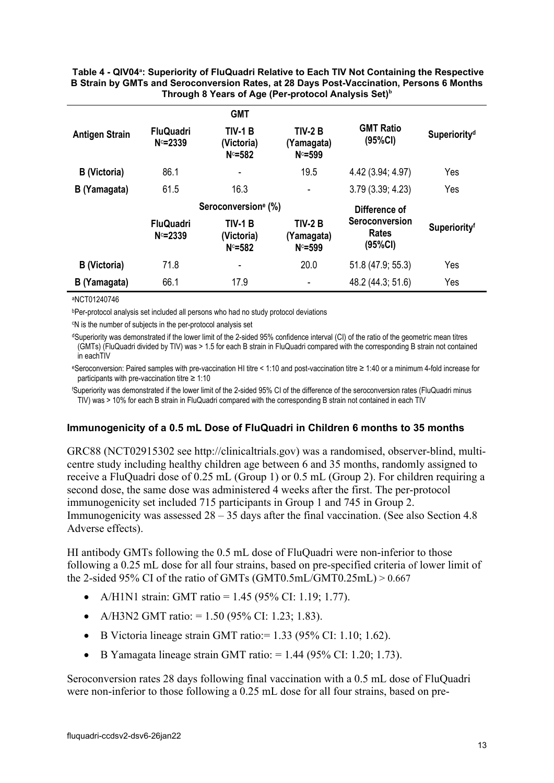#### <span id="page-12-0"></span>**Table 4 QIV04<sup>a</sup> : Superiority of FluQuadri Relative to Each TIV Not Containing the Respective B Strain by GMTs and Seroconversion Rates, at 28 Days Post-Vaccination, Persons 6 Months Through 8 Years of Age (Per-protocol Analysis Set)<sup>b</sup>**

|                       |                                | <b>GMT</b>                                |                                           |                                           |                          |
|-----------------------|--------------------------------|-------------------------------------------|-------------------------------------------|-------------------------------------------|--------------------------|
| <b>Antigen Strain</b> | <b>FluQuadri</b><br>$N = 2339$ | <b>TIV-1 B</b><br>(Victoria)<br>$N = 582$ | <b>TIV-2 B</b><br>(Yamagata)<br>$N = 599$ | <b>GMT Ratio</b><br>(95%CI)               | Superiority <sup>d</sup> |
| <b>B</b> (Victoria)   | 86.1                           | ٠                                         | 19.5                                      | 4.42 (3.94; 4.97)                         | Yes                      |
| B (Yamagata)          | 61.5                           | 16.3                                      | -                                         | 3.79(3.39; 4.23)                          | Yes                      |
|                       |                                | Seroconversion <sup>e</sup> (%)           |                                           | Difference of                             |                          |
|                       | <b>FluQuadri</b><br>$N = 2339$ | <b>TIV-1 B</b><br>(Victoria)<br>$N = 582$ | <b>TIV-2 B</b><br>(Yamagata)<br>$N = 599$ | Seroconversion<br><b>Rates</b><br>(95%CI) | Superiorityf             |
| <b>B</b> (Victoria)   | 71.8                           | ٠                                         | 20.0                                      | 51.8 (47.9; 55.3)                         | Yes                      |
| B (Yamagata)          | 66.1                           | 17.9                                      |                                           | 48.2 (44.3; 51.6)                         | Yes                      |

#### aNCT01240746

bPer-protocol analysis set included all persons who had no study protocol deviations

c N is the number of subjects in the per-protocol analysis set

dSuperiority was demonstrated if the lower limit of the 2-sided 95% confidence interval (CI) of the ratio of the geometric mean titres (GMTs) (FluQuadri divided by TIV) was > 1.5 for each B strain in FluQuadri compared with the corresponding B strain not contained in eachTIV

eSeroconversion: Paired samples with pre-vaccination HI titre < 1:10 and post-vaccination titre ≥ 1:40 or a minimum 4-fold increase for participants with pre-vaccination titre ≥ 1:10

f Superiority was demonstrated if the lower limit of the 2-sided 95% CI of the difference of the seroconversion rates (FluQuadri minus TIV) was > 10% for each B strain in FluQuadri compared with the corresponding B strain not contained in each TIV

#### **Immunogenicity of a 0.5 mL Dose of FluQuadri in Children 6 months to 35 months**

GRC88 (NCT02915302 see [http://clinicaltrials.gov\)](http://clinicaltrials.gov/) was a randomised, observer-blind, multicentre study including healthy children age between 6 and 35 months, randomly assigned to receive a FluQuadri dose of 0.25 mL (Group 1) or 0.5 mL (Group 2). For children requiring a second dose, the same dose was administered 4 weeks after the first. The per-protocol immunogenicity set included 715 participants in Group 1 and 745 in Group 2. Immunogenicity was assessed  $28 - 35$  days after the final vaccination. (See also Section 4.8) Adverse effects).

HI antibody GMTs following the 0.5 mL dose of FluQuadri were non-inferior to those following a 0.25 mL dose for all four strains, based on pre-specified criteria of lower limit of the 2-sided 95% CI of the ratio of GMTs (GMT0.5mL/GMT0.25mL)  $> 0.667$ 

- A/H1N1 strain: GMT ratio = 1.45 (95% CI: 1.19; 1.77).
- A/H3N2 GMT ratio:  $= 1.50$  (95% CI: 1.23; 1.83).
- B Victoria lineage strain GMT ratio:  $= 1.33$  (95% CI: 1.10; 1.62).
- B Yamagata lineage strain GMT ratio:  $= 1.44$  (95% CI: 1.20; 1.73).

Seroconversion rates 28 days following final vaccination with a 0.5 mL dose of FluQuadri were non-inferior to those following a 0.25 mL dose for all four strains, based on pre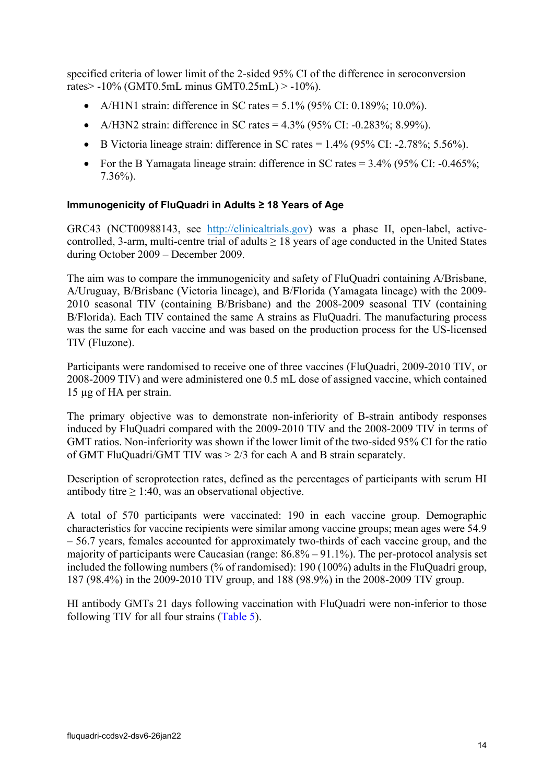specified criteria of lower limit of the 2-sided 95% CI of the difference in seroconversion rates> -10% (GMT0.5mL minus GMT0.25mL) > -10%).

- A/H1N1 strain: difference in SC rates =  $5.1\%$  (95% CI: 0.189%; 10.0%).
- A/H3N2 strain: difference in SC rates  $= 4.3\%$  (95% CI: -0.283%; 8.99%).
- B Victoria lineage strain: difference in SC rates  $= 1.4\%$  (95% CI: -2.78%; 5.56%).
- For the B Yamagata lineage strain: difference in SC rates  $= 3.4\%$  (95% CI: -0.465%; 7.36%).

#### **Immunogenicity of FluQuadri in Adults ≥ 18 Years of Age**

GRC43 (NCT00988143, see [http://clinicaltrials.gov\)](http://clinicaltrials.gov/) was a phase II, open-label, activecontrolled, 3-arm, multi-centre trial of adults  $\geq 18$  years of age conducted in the United States during October 2009 – December 2009.

The aim was to compare the immunogenicity and safety of FluQuadri containing A/Brisbane, A/Uruguay, B/Brisbane (Victoria lineage), and B/Florida (Yamagata lineage) with the 2009- 2010 seasonal TIV (containing B/Brisbane) and the 2008-2009 seasonal TIV (containing B/Florida). Each TIV contained the same A strains as FluQuadri. The manufacturing process was the same for each vaccine and was based on the production process for the US-licensed TIV (Fluzone).

Participants were randomised to receive one of three vaccines (FluQuadri, 2009-2010 TIV, or 2008-2009 TIV) and were administered one 0.5 mL dose of assigned vaccine, which contained 15 µg of HA per strain.

The primary objective was to demonstrate non-inferiority of B-strain antibody responses induced by FluQuadri compared with the 2009-2010 TIV and the 2008-2009 TIV in terms of GMT ratios. Non-inferiority was shown if the lower limit of the two-sided 95% CI for the ratio of GMT FluQuadri/GMT TIV was > 2/3 for each A and B strain separately.

Description of seroprotection rates, defined as the percentages of participants with serum HI antibody titre  $\geq 1:40$ , was an observational objective.

A total of 570 participants were vaccinated: 190 in each vaccine group. Demographic characteristics for vaccine recipients were similar among vaccine groups; mean ages were 54.9 – 56.7 years, females accounted for approximately two-thirds of each vaccine group, and the majority of participants were Caucasian (range: 86.8% – 91.1%). The per-protocol analysis set included the following numbers (% of randomised): 190 (100%) adults in the FluQuadri group, 187 (98.4%) in the 2009-2010 TIV group, and 188 (98.9%) in the 2008-2009 TIV group.

HI antibody GMTs 21 days following vaccination with FluQuadri were non-inferior to those following TIV for all four strains [\(Table](#page-14-0) 5).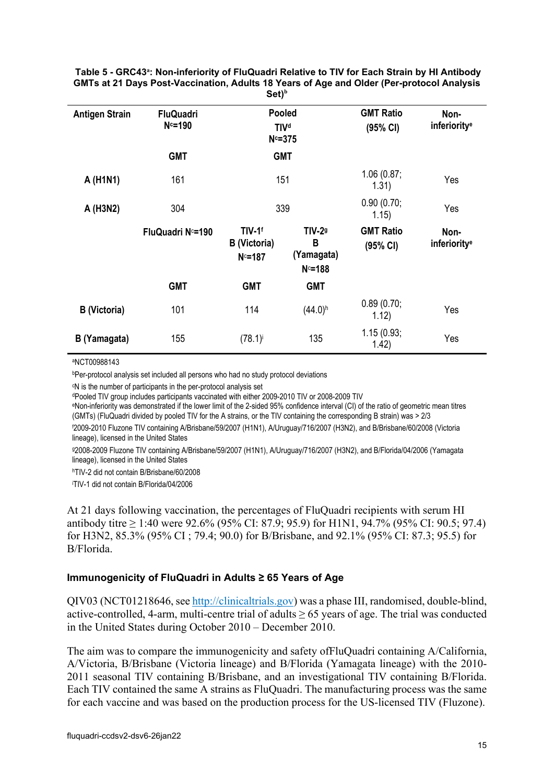<span id="page-14-0"></span>**Table 5 GRC43<sup>a</sup> : Non-inferiority of FluQuadri Relative to TIV for Each Strain by HI Antibody GMTs at 21 Days Post-Vaccination, Adults 18 Years of Age and Older (Per-protocol Analysis Set)<sup>b</sup>**

| <b>Antigen Strain</b> | <b>FluQuadri</b><br>$N = 190$ | <b>Pooled</b><br><b>TIVd</b><br>$N = 375$       |                                               | <b>GMT Ratio</b><br>(95% CI) | Non-<br>inferiority <sup>e</sup> |
|-----------------------|-------------------------------|-------------------------------------------------|-----------------------------------------------|------------------------------|----------------------------------|
|                       | <b>GMT</b>                    |                                                 | <b>GMT</b>                                    |                              |                                  |
| A (H1N1)              | 161                           |                                                 | 151                                           | 1.06(0.87)<br>1.31)          | Yes                              |
| A (H3N2)              | 304                           |                                                 | 339                                           | 0.90(0.70)<br>1.15)          | Yes                              |
|                       | FluQuadri No=190              | TIV-1 <sup>f</sup><br>B (Victoria)<br>$N = 187$ | <b>TIV-29</b><br>B<br>(Yamagata)<br>$N = 188$ | <b>GMT Ratio</b><br>(95% CI) | Non-<br>inferiority <sup>e</sup> |
|                       | <b>GMT</b>                    | <b>GMT</b>                                      | <b>GMT</b>                                    |                              |                                  |
| <b>B</b> (Victoria)   | 101                           | 114                                             | $(44.0)$ <sup>h</sup>                         | 0.89(0.70;<br>1.12)          | Yes                              |
| B (Yamagata)          | 155                           | (78.1)                                          | 135                                           | 1.15(0.93;<br>1.42)          | Yes                              |

aNCT00988143

bPer-protocol analysis set included all persons who had no study protocol deviations

c N is the number of participants in the per-protocol analysis set

dPooled TIV group includes participants vaccinated with either 2009-2010 TIV or 2008-2009 TIV<br>eNon-inferiority was demonstrated if the lower limit of the 2-sided 95% confidence interval (CI) of the ratio of geometric mean (GMTs) (FluQuadri divided by pooled TIV for the A strains, or the TIV containing the corresponding B strain) was > 2/3

f 2009-2010 Fluzone TIV containing A/Brisbane/59/2007 (H1N1), A/Uruguay/716/2007 (H3N2), and B/Brisbane/60/2008 (Victoria lineage), licensed in the United States

g2008-2009 Fluzone TIV containing A/Brisbane/59/2007 (H1N1), A/Uruguay/716/2007 (H3N2), and B/Florida/04/2006 (Yamagata lineage), licensed in the United States

hTIV-2 did not contain B/Brisbane/60/2008

i TIV-1 did not contain B/Florida/04/2006

At 21 days following vaccination, the percentages of FluQuadri recipients with serum HI antibody titre ≥ 1:40 were 92.6% (95% CI: 87.9; 95.9) for H1N1, 94.7% (95% CI: 90.5; 97.4) for H3N2, 85.3% (95% CI ; 79.4; 90.0) for B/Brisbane, and 92.1% (95% CI: 87.3; 95.5) for B/Florida.

#### **Immunogenicity of FluQuadri in Adults ≥ 65 Years of Age**

QIV03 (NCT01218646, se[e http://clinicaltrials.gov\)](http://clinicaltrials.gov/) was a phase III, randomised, double-blind, active-controlled, 4-arm, multi-centre trial of adults  $\geq 65$  years of age. The trial was conducted in the United States during October 2010 – December 2010.

The aim was to compare the immunogenicity and safety ofFluQuadri containing A/California, A/Victoria, B/Brisbane (Victoria lineage) and B/Florida (Yamagata lineage) with the 2010- 2011 seasonal TIV containing B/Brisbane, and an investigational TIV containing B/Florida. Each TIV contained the same A strains as FluQuadri. The manufacturing process was the same for each vaccine and was based on the production process for the US-licensed TIV (Fluzone).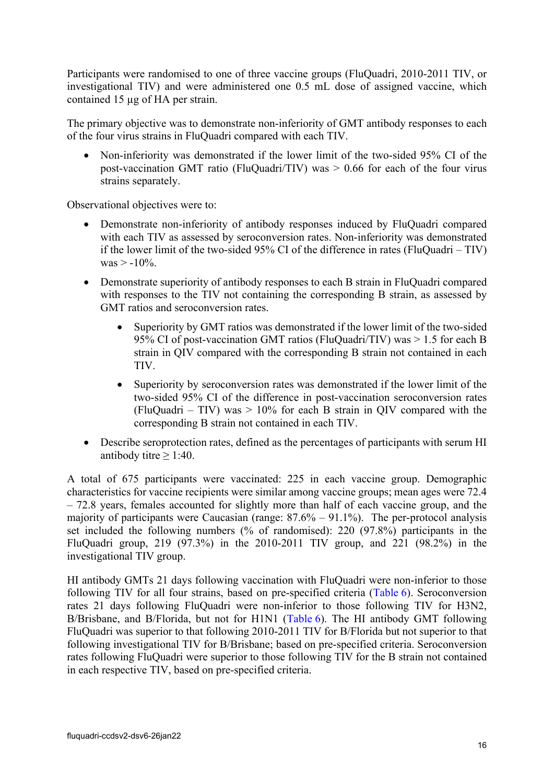Participants were randomised to one of three vaccine groups (FluQuadri, 2010-2011 TIV, or investigational TIV) and were administered one 0.5 mL dose of assigned vaccine, which contained 15 µg of HA per strain.

The primary objective was to demonstrate non-inferiority of GMT antibody responses to each of the four virus strains in FluQuadri compared with each TIV.

• Non-inferiority was demonstrated if the lower limit of the two-sided 95% CI of the post-vaccination GMT ratio (FluQuadri/TIV) was  $> 0.66$  for each of the four virus strains separately.

Observational objectives were to:

- Demonstrate non-inferiority of antibody responses induced by FluQuadri compared with each TIV as assessed by seroconversion rates. Non-inferiority was demonstrated if the lower limit of the two-sided  $95\%$  CI of the difference in rates (FluQuadri – TIV)  $was > -10\%$ .
- Demonstrate superiority of antibody responses to each B strain in FluQuadri compared with responses to the TIV not containing the corresponding B strain, as assessed by GMT ratios and seroconversion rates.
	- Superiority by GMT ratios was demonstrated if the lower limit of the two-sided 95% CI of post-vaccination GMT ratios (FluQuadri/TIV) was > 1.5 for each B strain in QIV compared with the corresponding B strain not contained in each TIV.
	- Superiority by seroconversion rates was demonstrated if the lower limit of the two-sided 95% CI of the difference in post-vaccination seroconversion rates (FluQuadri – TIV) was  $> 10\%$  for each B strain in QIV compared with the corresponding B strain not contained in each TIV.
- Describe seroprotection rates, defined as the percentages of participants with serum HI antibody titre  $\geq$  1:40.

A total of 675 participants were vaccinated: 225 in each vaccine group. Demographic characteristics for vaccine recipients were similar among vaccine groups; mean ages were 72.4 – 72.8 years, females accounted for slightly more than half of each vaccine group, and the majority of participants were Caucasian (range:  $87.6\% - 91.1\%$ ). The per-protocol analysis set included the following numbers (% of randomised): 220 (97.8%) participants in the FluQuadri group, 219 (97.3%) in the 2010-2011 TIV group, and 221 (98.2%) in the investigational TIV group.

HI antibody GMTs 21 days following vaccination with FluQuadri were non-inferior to those following TIV for all four strains, based on pre-specified criteria [\(Table](#page-16-0) 6). Seroconversion rates 21 days following FluQuadri were non-inferior to those following TIV for H3N2, B/Brisbane, and B/Florida, but not for H1N1 [\(Table](#page-16-0) 6). The HI antibody GMT following FluQuadri was superior to that following 2010-2011 TIV for B/Florida but not superior to that following investigational TIV for B/Brisbane; based on pre-specified criteria. Seroconversion rates following FluQuadri were superior to those following TIV for the B strain not contained in each respective TIV, based on pre-specified criteria.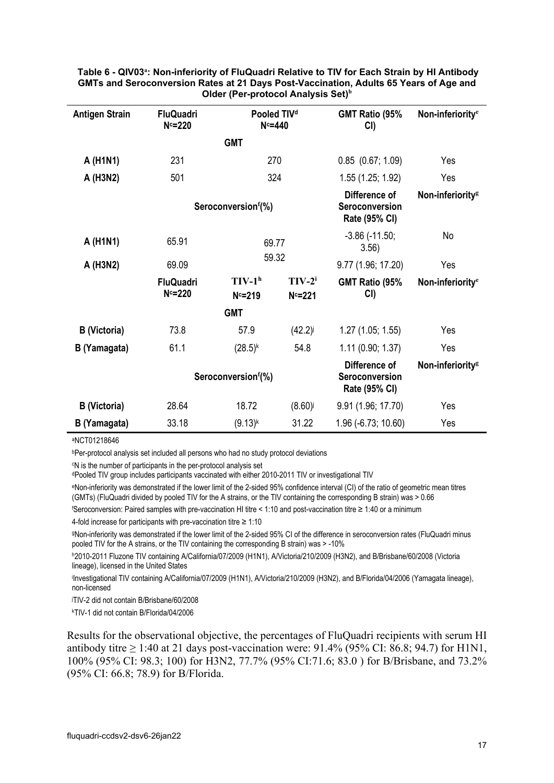| <b>Antigen Strain</b> | <b>FluQuadri</b><br>$N = 220$ | Pooled TIV <sup>d</sup><br>$N = 440$ |                        | GMT Ratio (95%<br>CI                             | Non-inferiority <sup>e</sup> |
|-----------------------|-------------------------------|--------------------------------------|------------------------|--------------------------------------------------|------------------------------|
|                       |                               | <b>GMT</b>                           |                        |                                                  |                              |
| A (H1N1)              | 231                           | 270                                  |                        | $0.85$ $(0.67; 1.09)$                            | Yes                          |
| A (H3N2)              | 501                           | 324                                  |                        | 1.55 (1.25; 1.92)                                | Yes                          |
|                       |                               | Seroconversion <sup>f</sup> (%)      |                        | Difference of<br>Seroconversion<br>Rate (95% CI) | Non-inferiority <sup>g</sup> |
| A (H1N1)              | 65.91                         | 69.77                                |                        | $-3.86$ $(-11.50)$ ;<br>3.56)                    | No                           |
| A (H3N2)              | 69.09                         | 59.32                                |                        | 9.77 (1.96; 17.20)                               | Yes                          |
|                       | <b>FluQuadri</b><br>$N = 220$ | $TIV-1h$<br>$N = 219$                | $TIV-2^i$<br>$N = 221$ | GMT Ratio (95%<br>CI)                            | Non-inferiority <sup>e</sup> |
|                       |                               | <b>GMT</b>                           |                        |                                                  |                              |
| <b>B</b> (Victoria)   | 73.8                          | 57.9                                 | (42.2)                 | 1.27(1.05; 1.55)                                 | Yes                          |
| B (Yamagata)          | 61.1                          | $(28.5)^{k}$                         | 54.8                   | 1.11(0.90; 1.37)                                 | Yes                          |
|                       |                               | Seroconversionf(%)                   |                        | Difference of<br>Seroconversion<br>Rate (95% CI) | Non-inferiority <sup>g</sup> |
| <b>B</b> (Victoria)   | 28.64                         | 18.72                                | (8.60)                 | 9.91 (1.96; 17.70)                               | Yes                          |
| B (Yamagata)          | 33.18                         | $(9.13)^{k}$                         | 31.22                  | 1.96 (-6.73; 10.60)                              | Yes                          |

<span id="page-16-0"></span>**Table 6 QIV03<sup>a</sup> : Non-inferiority of FluQuadri Relative to TIV for Each Strain by HI Antibody GMTs and Seroconversion Rates at 21 Days Post-Vaccination, Adults 65 Years of Age and Older (Per-protocol Analysis Set)<sup>b</sup>**

aNCT01218646

bPer-protocol analysis set included all persons who had no study protocol deviations

c N is the number of participants in the per-protocol analysis set

dPooled TIV group includes participants vaccinated with either 2010-2011 TIV or investigational TIV

eNon-inferiority was demonstrated if the lower limit of the 2-sided 95% confidence interval (CI) of the ratio of geometric mean titres (GMTs) (FluQuadri divided by pooled TIV for the A strains, or the TIV containing the corresponding B strain) was > 0.66

f Seroconversion: Paired samples with pre-vaccination HI titre < 1:10 and post-vaccination titre ≥ 1:40 or a minimum

4-fold increase for participants with pre-vaccination titre  $\geq 1:10$ 

gNon-inferiority was demonstrated if the lower limit of the 2-sided 95% CI of the difference in seroconversion rates (FluQuadri minus pooled TIV for the A strains, or the TIV containing the corresponding B strain) was > -10%

h2010-2011 Fluzone TIV containing A/California/07/2009 (H1N1), A/Victoria/210/2009 (H3N2), and B/Brisbane/60/2008 (Victoria lineage), licensed in the United States

i Investigational TIV containing A/California/07/2009 (H1N1), A/Victoria/210/2009 (H3N2), and B/Florida/04/2006 (Yamagata lineage), non-licensed

TIV-2 did not contain B/Brisbane/60/2008

k TIV-1 did not contain B/Florida/04/2006

Results for the observational objective, the percentages of FluQuadri recipients with serum HI antibody titre  $\geq 1:40$  at 21 days post-vaccination were: 91.4% (95% CI: 86.8; 94.7) for H1N1, 100% (95% CI: 98.3; 100) for H3N2, 77.7% (95% CI:71.6; 83.0 ) for B/Brisbane, and 73.2% (95% CI: 66.8; 78.9) for B/Florida.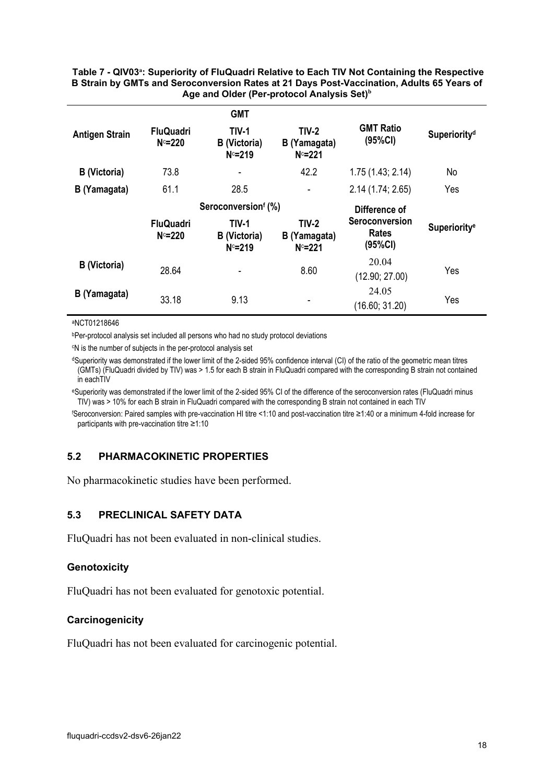#### **Table 7 QIV03<sup>a</sup> : Superiority of FluQuadri Relative to Each TIV Not Containing the Respective B Strain by GMTs and Seroconversion Rates at 21 Days Post-Vaccination, Adults 65 Years of Age and Older (Per-protocol Analysis Set)<sup>b</sup>**

|                       |                               | <b>GMT</b>                                       |                                           |                                    |                          |
|-----------------------|-------------------------------|--------------------------------------------------|-------------------------------------------|------------------------------------|--------------------------|
| <b>Antigen Strain</b> | <b>FluQuadri</b><br>$N = 220$ | <b>TIV-1</b><br><b>B</b> (Victoria)<br>$N = 219$ | $TIV-2$<br>B (Yamagata)<br>$N = 221$      | <b>GMT Ratio</b><br>(95%CI)        | Superiority <sup>d</sup> |
| <b>B</b> (Victoria)   | 73.8                          |                                                  | 42.2                                      | 1.75(1.43; 2.14)                   | No                       |
| B (Yamagata)          | 61.1                          | 28.5                                             | $\overline{\phantom{a}}$                  | 2.14(1.74; 2.65)                   | Yes                      |
|                       |                               | Seroconversionf (%)                              |                                           | Difference of                      |                          |
|                       | <b>FluQuadri</b><br>$N = 220$ | <b>TIV-1</b><br><b>B</b> (Victoria)<br>$N = 219$ | <b>TIV-2</b><br>B (Yamagata)<br>$N = 221$ | Seroconversion<br>Rates<br>(95%CI) | Superiority <sup>e</sup> |
| <b>B</b> (Victoria)   | 28.64                         |                                                  | 8.60                                      | 20.04                              | Yes                      |
|                       |                               |                                                  |                                           | (12.90; 27.00)                     |                          |

#### aNCT01218646

bPer-protocol analysis set included all persons who had no study protocol deviations

c N is the number of subjects in the per-protocol analysis set

dSuperiority was demonstrated if the lower limit of the 2-sided 95% confidence interval (CI) of the ratio of the geometric mean titres (GMTs) (FluQuadri divided by TIV) was > 1.5 for each B strain in FluQuadri compared with the corresponding B strain not contained in eachTIV

eSuperiority was demonstrated if the lower limit of the 2-sided 95% CI of the difference of the seroconversion rates (FluQuadri minus TIV) was > 10% for each B strain in FluQuadri compared with the corresponding B strain not contained in each TIV

f Seroconversion: Paired samples with pre-vaccination HI titre <1:10 and post-vaccination titre ≥1:40 or a minimum 4-fold increase for participants with pre-vaccination titre ≥1:10

#### **5.2 PHARMACOKINETIC PROPERTIES**

No pharmacokinetic studies have been performed.

#### **5.3 PRECLINICAL SAFETY DATA**

FluQuadri has not been evaluated in non-clinical studies.

#### **Genotoxicity**

FluQuadri has not been evaluated for genotoxic potential.

#### **Carcinogenicity**

FluQuadri has not been evaluated for carcinogenic potential.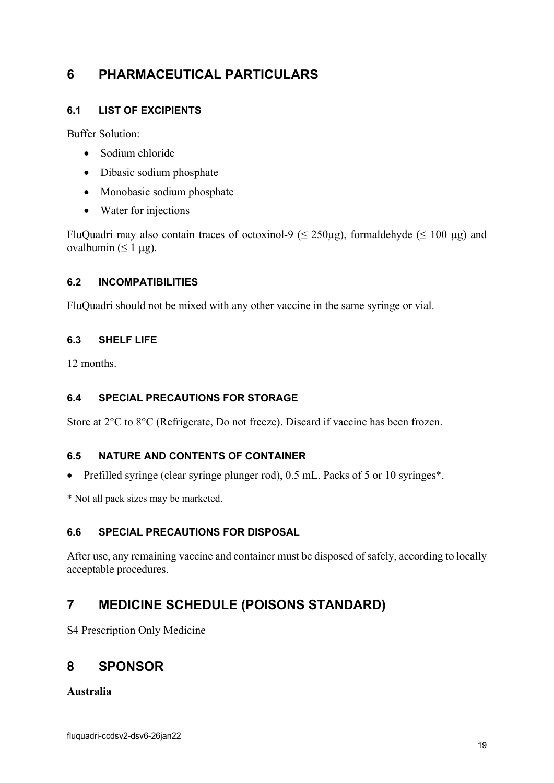# <span id="page-18-0"></span>**6 PHARMACEUTICAL PARTICULARS**

### **6.1 LIST OF EXCIPIENTS**

Buffer Solution:

- Sodium chloride
- Dibasic sodium phosphate
- Monobasic sodium phosphate
- Water for injections

FluQuadri may also contain traces of octoxinol-9 ( $\leq$  250µg), formaldehyde ( $\leq$  100 µg) and ovalbumin  $( \leq 1 \mu g)$ .

#### **6.2 INCOMPATIBILITIES**

FluQuadri should not be mixed with any other vaccine in the same syringe or vial.

#### **6.3 SHELF LIFE**

12 months.

#### **6.4 SPECIAL PRECAUTIONS FOR STORAGE**

Store at 2°C to 8°C (Refrigerate, Do not freeze). Discard if vaccine has been frozen.

#### **6.5 NATURE AND CONTENTS OF CONTAINER**

- Prefilled syringe (clear syringe plunger rod), 0.5 mL. Packs of 5 or 10 syringes\*.
- \* Not all pack sizes may be marketed.

#### **6.6 SPECIAL PRECAUTIONS FOR DISPOSAL**

After use, any remaining vaccine and container must be disposed of safely, according to locally acceptable procedures.

## **7 MEDICINE SCHEDULE (POISONS STANDARD)**

S4 Prescription Only Medicine

### **8 SPONSOR**

**Australia**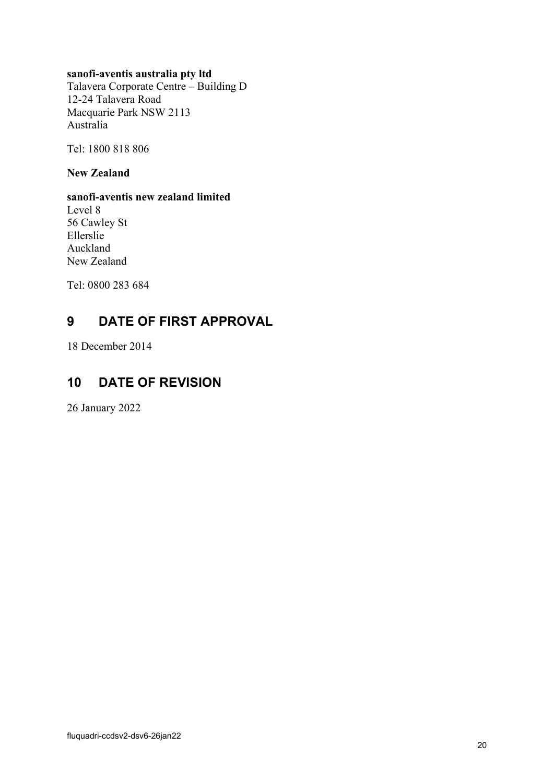#### **sanofi-aventis australia pty ltd**

Talavera Corporate Centre – Building D 12-24 Talavera Road Macquarie Park NSW 2113 Australia

Tel: 1800 818 806

**New Zealand**

**sanofi-aventis new zealand limited** Level 8 56 Cawley St Ellerslie Auckland New Zealand

Tel: 0800 283 684

# **9 DATE OF FIRST APPROVAL**

18 December 2014

## **10 DATE OF REVISION**

26 January 2022